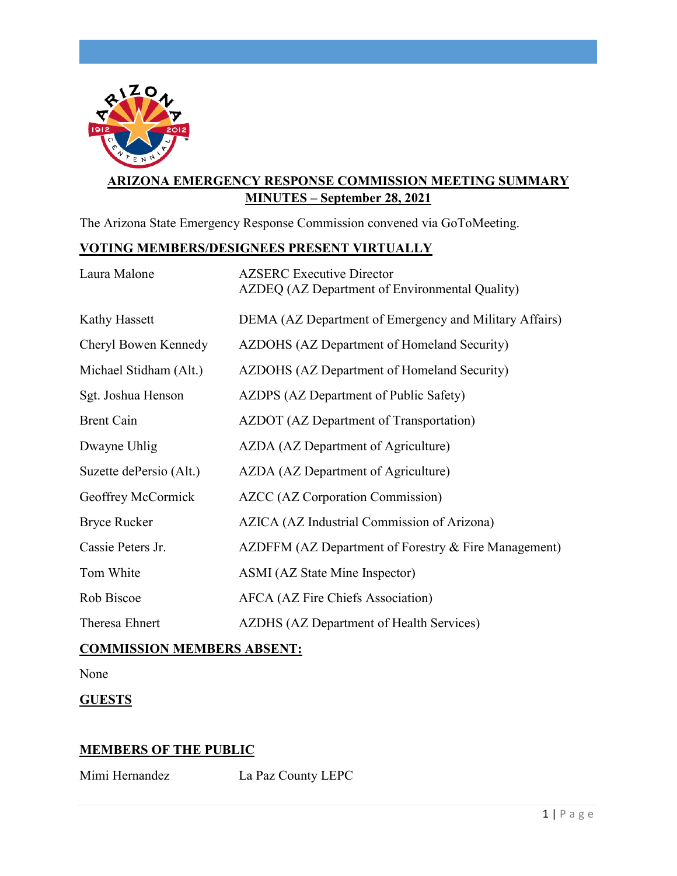

# **ARIZONA EMERGENCY RESPONSE COMMISSION MEETING SUMMARY MINUTES – September 28, 2021**

The Arizona State Emergency Response Commission convened via GoToMeeting.

## **VOTING MEMBERS/DESIGNEES PRESENT VIRTUALLY**

| Laura Malone            | <b>AZSERC</b> Executive Director<br>AZDEQ (AZ Department of Environmental Quality) |
|-------------------------|------------------------------------------------------------------------------------|
| Kathy Hassett           | DEMA (AZ Department of Emergency and Military Affairs)                             |
| Cheryl Bowen Kennedy    | AZDOHS (AZ Department of Homeland Security)                                        |
| Michael Stidham (Alt.)  | AZDOHS (AZ Department of Homeland Security)                                        |
| Sgt. Joshua Henson      | AZDPS (AZ Department of Public Safety)                                             |
| <b>Brent Cain</b>       | AZDOT (AZ Department of Transportation)                                            |
| Dwayne Uhlig            | AZDA (AZ Department of Agriculture)                                                |
| Suzette dePersio (Alt.) | AZDA (AZ Department of Agriculture)                                                |
| Geoffrey McCormick      | <b>AZCC</b> (AZ Corporation Commission)                                            |
| <b>Bryce Rucker</b>     | AZICA (AZ Industrial Commission of Arizona)                                        |
| Cassie Peters Jr.       | AZDFFM (AZ Department of Forestry & Fire Management)                               |
| Tom White               | ASMI (AZ State Mine Inspector)                                                     |
| Rob Biscoe              | AFCA (AZ Fire Chiefs Association)                                                  |
| Theresa Ehnert          | AZDHS (AZ Department of Health Services)                                           |

# **COMMISSION MEMBERS ABSENT:**

None

### **GUESTS**

### **MEMBERS OF THE PUBLIC**

Mimi Hernandez La Paz County LEPC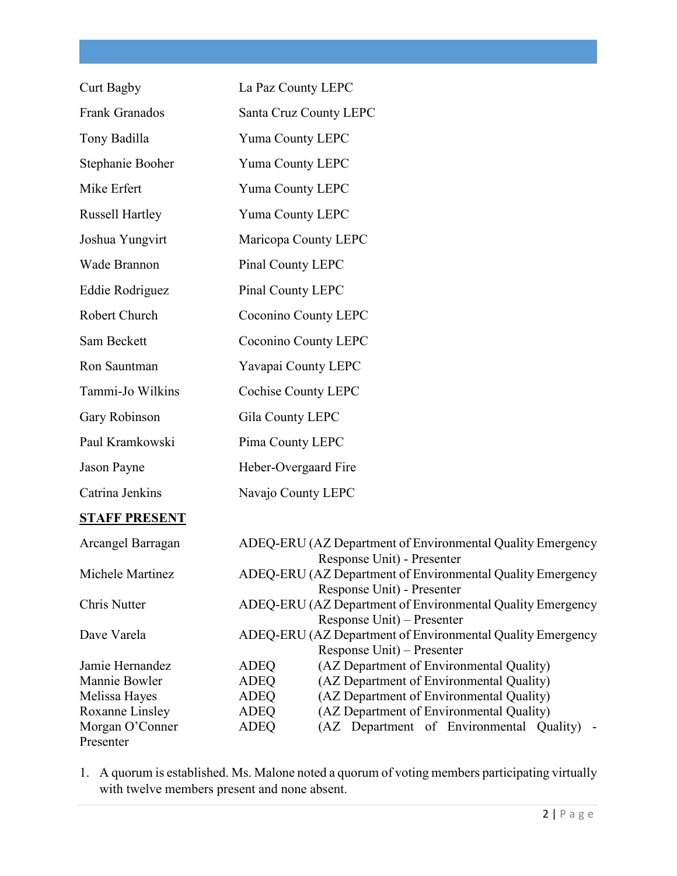| <b>Curt Bagby</b>      | La Paz County LEPC                                                                                                     |
|------------------------|------------------------------------------------------------------------------------------------------------------------|
| Frank Granados         | Santa Cruz County LEPC                                                                                                 |
| Tony Badilla           | Yuma County LEPC                                                                                                       |
| Stephanie Booher       | Yuma County LEPC                                                                                                       |
| Mike Erfert            | Yuma County LEPC                                                                                                       |
| <b>Russell Hartley</b> | Yuma County LEPC                                                                                                       |
| Joshua Yungvirt        | Maricopa County LEPC                                                                                                   |
| Wade Brannon           | Pinal County LEPC                                                                                                      |
| Eddie Rodriguez        | Pinal County LEPC                                                                                                      |
| Robert Church          | Coconino County LEPC                                                                                                   |
| Sam Beckett            | Coconino County LEPC                                                                                                   |
| Ron Sauntman           | Yavapai County LEPC                                                                                                    |
| Tammi-Jo Wilkins       | <b>Cochise County LEPC</b>                                                                                             |
| Gary Robinson          | Gila County LEPC                                                                                                       |
| Paul Kramkowski        | Pima County LEPC                                                                                                       |
| Jason Payne            | Heber-Overgaard Fire                                                                                                   |
| Catrina Jenkins        | Navajo County LEPC                                                                                                     |
| <b>STAFF PRESENT</b>   |                                                                                                                        |
| Arcangel Barragan      | ADEQ-ERU (AZ Department of Environmental Quality Emergency<br>Response Unit) - Presenter                               |
| Michele Martinez       | ADEQ-ERU (AZ Department of Environmental Quality Emergency<br>Response Unit) - Presenter                               |
| Chris Nutter           | ADEQ-ERU (AZ Department of Environmental Quality Emergency                                                             |
| Dave Varela            | Response Unit) – Presenter<br>ADEQ-ERU (AZ Department of Environmental Quality Emergency<br>Response Unit) – Presenter |

Presenter

Jamie Hernandez ADEQ (AZ Department of Environmental Quality) Mannie Bowler ADEQ (AZ Department of Environmental Quality)<br>Melissa Hayes ADEQ (AZ Department of Environmental Quality) ADEQ (AZ Department of Environmental Quality) Roxanne Linsley ADEQ (AZ Department of Environmental Quality)<br>Morgan O'Conner ADEQ (AZ Department of Environmental Qu ADEQ (AZ Department of Environmental Quality) -

1. A quorum is established. Ms. Malone noted a quorum of voting members participating virtually with twelve members present and none absent.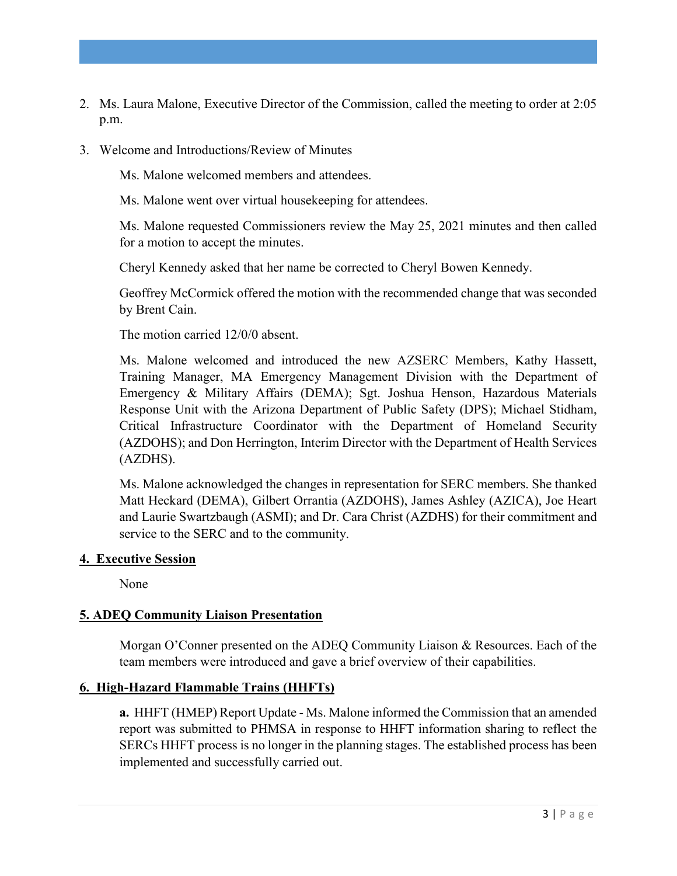- 2. Ms. Laura Malone, Executive Director of the Commission, called the meeting to order at 2:05 p.m.
- 3. Welcome and Introductions/Review of Minutes

Ms. Malone welcomed members and attendees.

Ms. Malone went over virtual housekeeping for attendees.

Ms. Malone requested Commissioners review the May 25, 2021 minutes and then called for a motion to accept the minutes.

Cheryl Kennedy asked that her name be corrected to Cheryl Bowen Kennedy.

Geoffrey McCormick offered the motion with the recommended change that was seconded by Brent Cain.

The motion carried 12/0/0 absent.

Ms. Malone welcomed and introduced the new AZSERC Members, Kathy Hassett, Training Manager, MA Emergency Management Division with the Department of Emergency & Military Affairs (DEMA); Sgt. Joshua Henson, Hazardous Materials Response Unit with the Arizona Department of Public Safety (DPS); Michael Stidham, Critical Infrastructure Coordinator with the Department of Homeland Security (AZDOHS); and Don Herrington, Interim Director with the Department of Health Services (AZDHS).

Ms. Malone acknowledged the changes in representation for SERC members. She thanked Matt Heckard (DEMA), Gilbert Orrantia (AZDOHS), James Ashley (AZICA), Joe Heart and Laurie Swartzbaugh (ASMI); and Dr. Cara Christ (AZDHS) for their commitment and service to the SERC and to the community.

#### **4. Executive Session**

None

### **5. ADEQ Community Liaison Presentation**

Morgan O'Conner presented on the ADEQ Community Liaison & Resources. Each of the team members were introduced and gave a brief overview of their capabilities.

### **6. High-Hazard Flammable Trains (HHFTs)**

**a.** HHFT (HMEP) Report Update - Ms. Malone informed the Commission that an amended report was submitted to PHMSA in response to HHFT information sharing to reflect the SERCs HHFT process is no longer in the planning stages. The established process has been implemented and successfully carried out.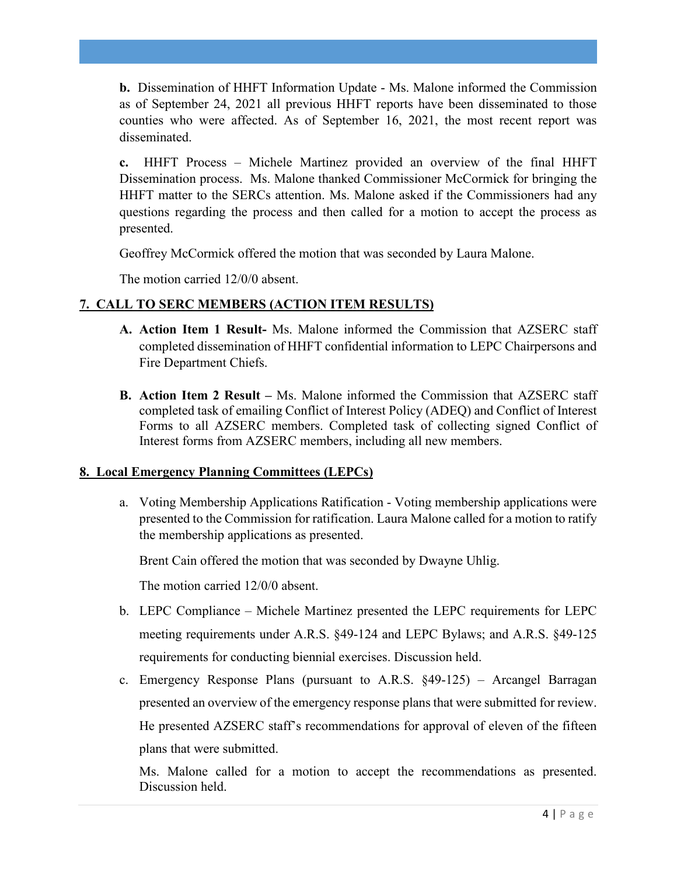**b.** Dissemination of HHFT Information Update - Ms. Malone informed the Commission as of September 24, 2021 all previous HHFT reports have been disseminated to those counties who were affected. As of September 16, 2021, the most recent report was disseminated.

**c.** HHFT Process – Michele Martinez provided an overview of the final HHFT Dissemination process. Ms. Malone thanked Commissioner McCormick for bringing the HHFT matter to the SERCs attention. Ms. Malone asked if the Commissioners had any questions regarding the process and then called for a motion to accept the process as presented.

Geoffrey McCormick offered the motion that was seconded by Laura Malone.

The motion carried 12/0/0 absent.

# **7. CALL TO SERC MEMBERS (ACTION ITEM RESULTS)**

- **A. Action Item 1 Result-** Ms. Malone informed the Commission that AZSERC staff completed dissemination of HHFT confidential information to LEPC Chairpersons and Fire Department Chiefs.
- **B. Action Item 2 Result –** Ms. Malone informed the Commission that AZSERC staff completed task of emailing Conflict of Interest Policy (ADEQ) and Conflict of Interest Forms to all AZSERC members. Completed task of collecting signed Conflict of Interest forms from AZSERC members, including all new members.

### **8. Local Emergency Planning Committees (LEPCs)**

a. Voting Membership Applications Ratification - Voting membership applications were presented to the Commission for ratification. Laura Malone called for a motion to ratify the membership applications as presented.

Brent Cain offered the motion that was seconded by Dwayne Uhlig.

The motion carried 12/0/0 absent.

- b. LEPC Compliance Michele Martinez presented the LEPC requirements for LEPC meeting requirements under A.R.S. §49-124 and LEPC Bylaws; and A.R.S. §49-125 requirements for conducting biennial exercises. Discussion held.
- c. Emergency Response Plans (pursuant to A.R.S. §49-125) Arcangel Barragan presented an overview of the emergency response plans that were submitted for review. He presented AZSERC staff's recommendations for approval of eleven of the fifteen plans that were submitted.

Ms. Malone called for a motion to accept the recommendations as presented. Discussion held.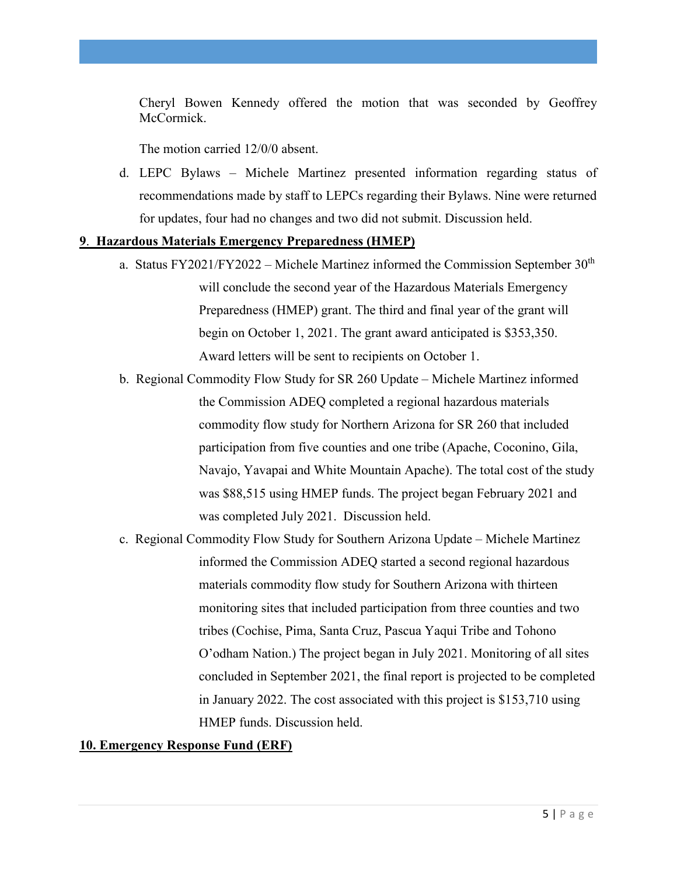Cheryl Bowen Kennedy offered the motion that was seconded by Geoffrey McCormick.

The motion carried 12/0/0 absent.

d. LEPC Bylaws – Michele Martinez presented information regarding status of recommendations made by staff to LEPCs regarding their Bylaws. Nine were returned for updates, four had no changes and two did not submit. Discussion held.

#### **9**. **Hazardous Materials Emergency Preparedness (HMEP)**

- a. Status FY2021/FY2022 Michele Martinez informed the Commission September  $30<sup>th</sup>$ will conclude the second year of the Hazardous Materials Emergency Preparedness (HMEP) grant. The third and final year of the grant will begin on October 1, 2021. The grant award anticipated is \$353,350. Award letters will be sent to recipients on October 1.
- b. Regional Commodity Flow Study for SR 260 Update Michele Martinez informed the Commission ADEQ completed a regional hazardous materials commodity flow study for Northern Arizona for SR 260 that included participation from five counties and one tribe (Apache, Coconino, Gila, Navajo, Yavapai and White Mountain Apache). The total cost of the study was \$88,515 using HMEP funds. The project began February 2021 and was completed July 2021. Discussion held.
- c. Regional Commodity Flow Study for Southern Arizona Update Michele Martinez informed the Commission ADEQ started a second regional hazardous materials commodity flow study for Southern Arizona with thirteen monitoring sites that included participation from three counties and two tribes (Cochise, Pima, Santa Cruz, Pascua Yaqui Tribe and Tohono O'odham Nation.) The project began in July 2021. Monitoring of all sites concluded in September 2021, the final report is projected to be completed in January 2022. The cost associated with this project is \$153,710 using HMEP funds. Discussion held.

### **10. Emergency Response Fund (ERF)**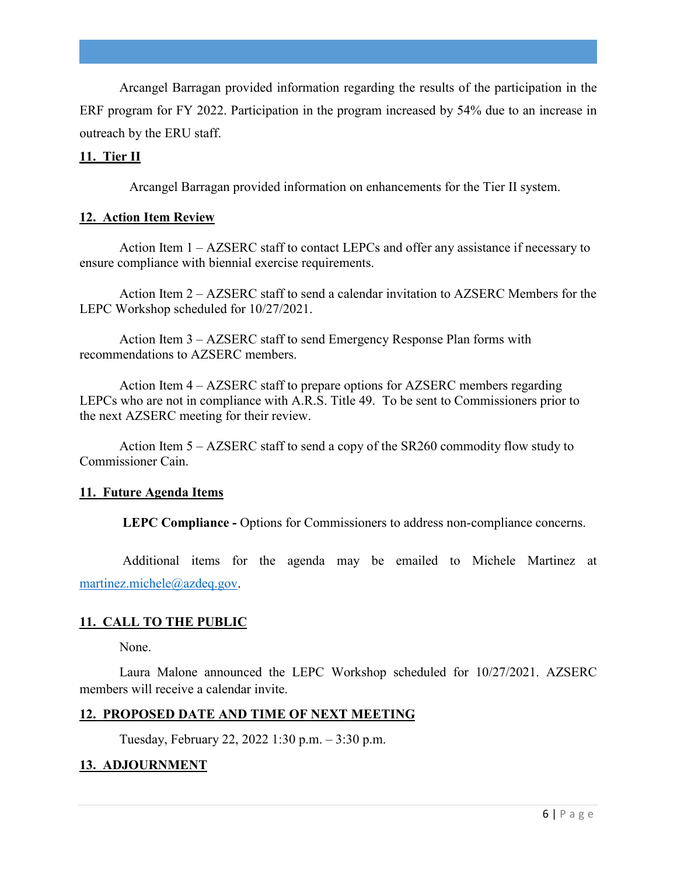Arcangel Barragan provided information regarding the results of the participation in the ERF program for FY 2022. Participation in the program increased by 54% due to an increase in outreach by the ERU staff.

#### **11. Tier II**

Arcangel Barragan provided information on enhancements for the Tier II system.

#### **12. Action Item Review**

Action Item 1 – AZSERC staff to contact LEPCs and offer any assistance if necessary to ensure compliance with biennial exercise requirements.

Action Item 2 – AZSERC staff to send a calendar invitation to AZSERC Members for the LEPC Workshop scheduled for 10/27/2021.

Action Item 3 – AZSERC staff to send Emergency Response Plan forms with recommendations to AZSERC members.

Action Item 4 – AZSERC staff to prepare options for AZSERC members regarding LEPCs who are not in compliance with A.R.S. Title 49. To be sent to Commissioners prior to the next AZSERC meeting for their review.

Action Item 5 – AZSERC staff to send a copy of the SR260 commodity flow study to Commissioner Cain.

#### **11. Future Agenda Items**

 **LEPC Compliance -** Options for Commissioners to address non-compliance concerns.

Additional items for the agenda may be emailed to Michele Martinez at martinez.michele@azdeq.gov.

### **11. CALL TO THE PUBLIC**

None.

Laura Malone announced the LEPC Workshop scheduled for 10/27/2021. AZSERC members will receive a calendar invite.

### **12. PROPOSED DATE AND TIME OF NEXT MEETING**

Tuesday, February 22, 2022 1:30 p.m. – 3:30 p.m.

## **13. ADJOURNMENT**